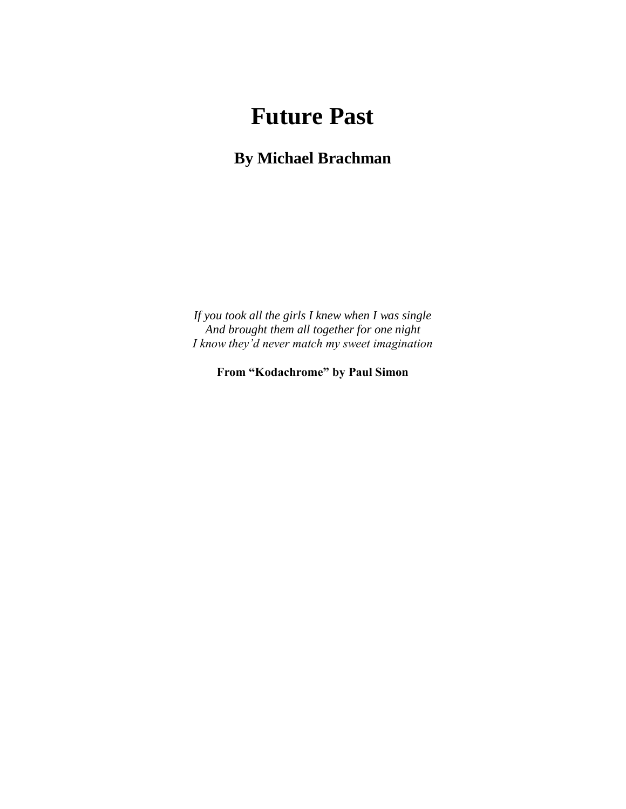# **Future Past**

# **By Michael Brachman**

*If you took all the girls I knew when I was single And brought them all together for one night I know they'd never match my sweet imagination*

**From "Kodachrome" by Paul Simon**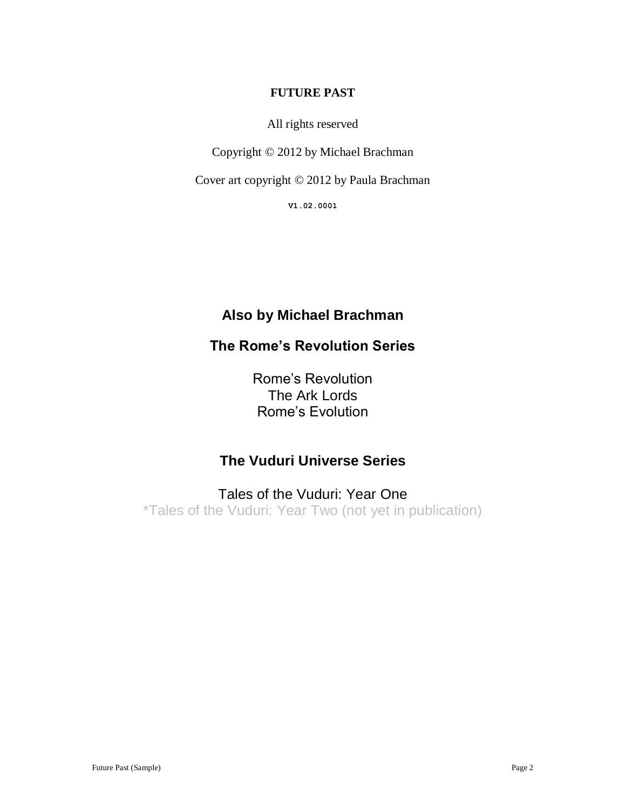#### **FUTURE PAST**

All rights reserved

Copyright © 2012 by Michael Brachman

Cover art copyright © 2012 by Paula Brachman

**V1.02.0001**

## **Also by Michael Brachman**

# **The Rome's Revolution Series**

Rome's Revolution The Ark Lords Rome's Evolution

# **The Vuduri Universe Series**

Tales of the Vuduri: Year One \*Tales of the Vuduri: Year Two (not yet in publication)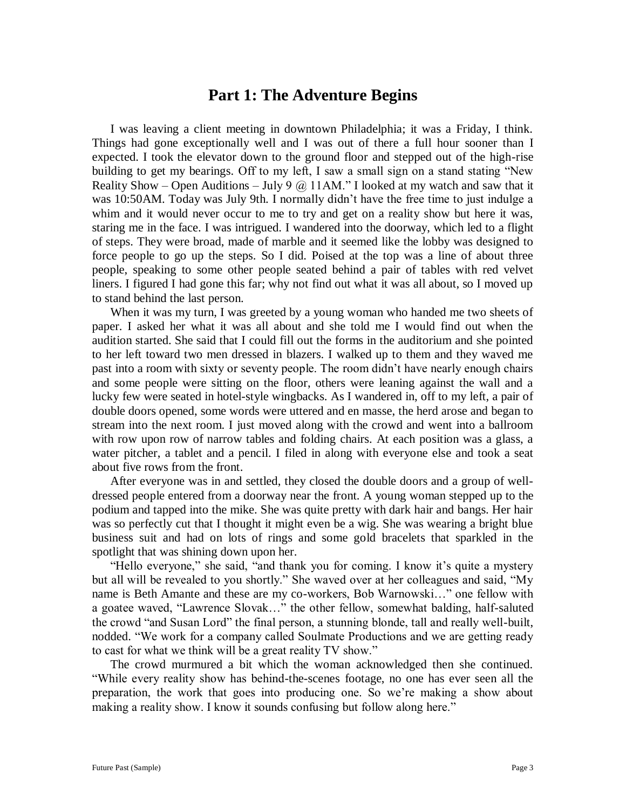## **Part 1: The Adventure Begins**

I was leaving a client meeting in downtown Philadelphia; it was a Friday, I think. Things had gone exceptionally well and I was out of there a full hour sooner than I expected. I took the elevator down to the ground floor and stepped out of the high-rise building to get my bearings. Off to my left, I saw a small sign on a stand stating "New Reality Show – Open Auditions – July 9  $\omega$  11AM." I looked at my watch and saw that it was 10:50AM. Today was July 9th. I normally didn't have the free time to just indulge a whim and it would never occur to me to try and get on a reality show but here it was, staring me in the face. I was intrigued. I wandered into the doorway, which led to a flight of steps. They were broad, made of marble and it seemed like the lobby was designed to force people to go up the steps. So I did. Poised at the top was a line of about three people, speaking to some other people seated behind a pair of tables with red velvet liners. I figured I had gone this far; why not find out what it was all about, so I moved up to stand behind the last person.

When it was my turn, I was greeted by a young woman who handed me two sheets of paper. I asked her what it was all about and she told me I would find out when the audition started. She said that I could fill out the forms in the auditorium and she pointed to her left toward two men dressed in blazers. I walked up to them and they waved me past into a room with sixty or seventy people. The room didn't have nearly enough chairs and some people were sitting on the floor, others were leaning against the wall and a lucky few were seated in hotel-style wingbacks. As I wandered in, off to my left, a pair of double doors opened, some words were uttered and en masse, the herd arose and began to stream into the next room. I just moved along with the crowd and went into a ballroom with row upon row of narrow tables and folding chairs. At each position was a glass, a water pitcher, a tablet and a pencil. I filed in along with everyone else and took a seat about five rows from the front.

After everyone was in and settled, they closed the double doors and a group of welldressed people entered from a doorway near the front. A young woman stepped up to the podium and tapped into the mike. She was quite pretty with dark hair and bangs. Her hair was so perfectly cut that I thought it might even be a wig. She was wearing a bright blue business suit and had on lots of rings and some gold bracelets that sparkled in the spotlight that was shining down upon her.

"Hello everyone," she said, "and thank you for coming. I know it's quite a mystery but all will be revealed to you shortly." She waved over at her colleagues and said, "My name is Beth Amante and these are my co-workers, Bob Warnowski…" one fellow with a goatee waved, "Lawrence Slovak…" the other fellow, somewhat balding, half-saluted the crowd "and Susan Lord" the final person, a stunning blonde, tall and really well-built, nodded. "We work for a company called Soulmate Productions and we are getting ready to cast for what we think will be a great reality TV show."

The crowd murmured a bit which the woman acknowledged then she continued. "While every reality show has behind-the-scenes footage, no one has ever seen all the preparation, the work that goes into producing one. So we're making a show about making a reality show. I know it sounds confusing but follow along here."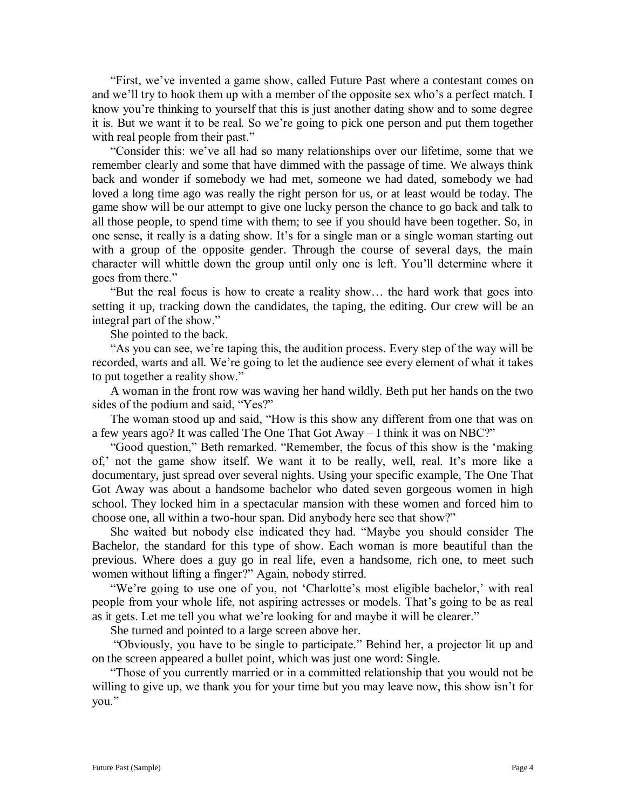"First, we've invented a game show, called Future Past where a contestant comes on and we'll try to hook them up with a member of the opposite sex who's a perfect match. I know you're thinking to yourself that this is just another dating show and to some degree it is. But we want it to be real. So we're going to pick one person and put them together with real people from their past."

"Consider this: we've all had so many relationships over our lifetime, some that we remember clearly and some that have dimmed with the passage of time. We always think back and wonder if somebody we had met, someone we had dated, somebody we had loved a long time ago was really the right person for us, or at least would be today. The game show will be our attempt to give one lucky person the chance to go back and talk to all those people, to spend time with them; to see if you should have been together. So, in one sense, it really is a dating show. It's for a single man or a single woman starting out with a group of the opposite gender. Through the course of several days, the main character will whittle down the group until only one is left. You'll determine where it goes from there."

"But the real focus is how to create a reality show… the hard work that goes into setting it up, tracking down the candidates, the taping, the editing. Our crew will be an integral part of the show."

She pointed to the back.

"As you can see, we're taping this, the audition process. Every step of the way will be recorded, warts and all. We're going to let the audience see every element of what it takes to put together a reality show."

A woman in the front row was waving her hand wildly. Beth put her hands on the two sides of the podium and said, "Yes?"

The woman stood up and said, "How is this show any different from one that was on a few years ago? It was called The One That Got Away – I think it was on NBC?"

"Good question," Beth remarked. "Remember, the focus of this show is the 'making of,' not the game show itself. We want it to be really, well, real. It's more like a documentary, just spread over several nights. Using your specific example, The One That Got Away was about a handsome bachelor who dated seven gorgeous women in high school. They locked him in a spectacular mansion with these women and forced him to choose one, all within a two-hour span. Did anybody here see that show?"

She waited but nobody else indicated they had. "Maybe you should consider The Bachelor, the standard for this type of show. Each woman is more beautiful than the previous. Where does a guy go in real life, even a handsome, rich one, to meet such women without lifting a finger?" Again, nobody stirred.

"We're going to use one of you, not 'Charlotte's most eligible bachelor,' with real people from your whole life, not aspiring actresses or models. That's going to be as real as it gets. Let me tell you what we're looking for and maybe it will be clearer."

She turned and pointed to a large screen above her.

"Obviously, you have to be single to participate." Behind her, a projector lit up and on the screen appeared a bullet point, which was just one word: Single.

"Those of you currently married or in a committed relationship that you would not be willing to give up, we thank you for your time but you may leave now, this show isn't for you."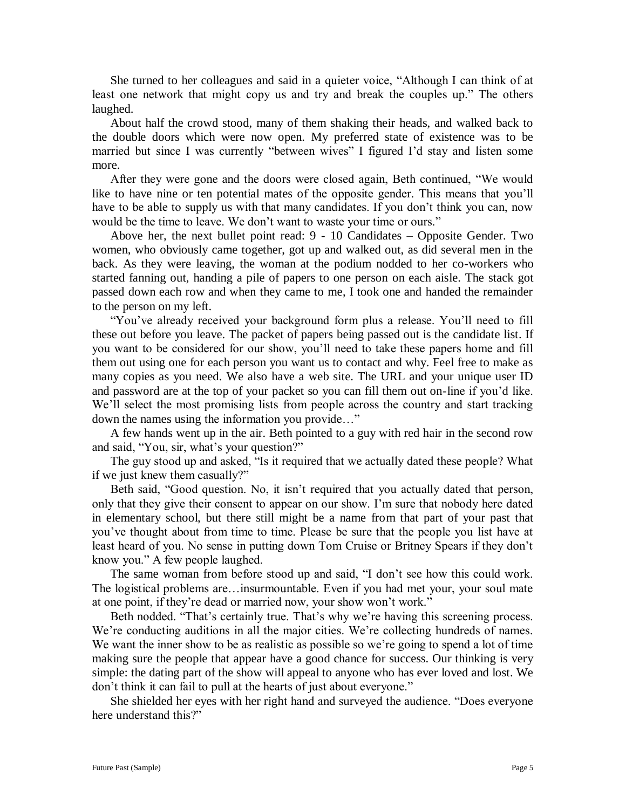She turned to her colleagues and said in a quieter voice, "Although I can think of at least one network that might copy us and try and break the couples up." The others laughed.

About half the crowd stood, many of them shaking their heads, and walked back to the double doors which were now open. My preferred state of existence was to be married but since I was currently "between wives" I figured I'd stay and listen some more.

After they were gone and the doors were closed again, Beth continued, "We would like to have nine or ten potential mates of the opposite gender. This means that you'll have to be able to supply us with that many candidates. If you don't think you can, now would be the time to leave. We don't want to waste your time or ours."

Above her, the next bullet point read: 9 - 10 Candidates – Opposite Gender. Two women, who obviously came together, got up and walked out, as did several men in the back. As they were leaving, the woman at the podium nodded to her co-workers who started fanning out, handing a pile of papers to one person on each aisle. The stack got passed down each row and when they came to me, I took one and handed the remainder to the person on my left.

"You've already received your background form plus a release. You'll need to fill these out before you leave. The packet of papers being passed out is the candidate list. If you want to be considered for our show, you'll need to take these papers home and fill them out using one for each person you want us to contact and why. Feel free to make as many copies as you need. We also have a web site. The URL and your unique user ID and password are at the top of your packet so you can fill them out on-line if you'd like. We'll select the most promising lists from people across the country and start tracking down the names using the information you provide…"

A few hands went up in the air. Beth pointed to a guy with red hair in the second row and said, "You, sir, what's your question?"

The guy stood up and asked, "Is it required that we actually dated these people? What if we just knew them casually?"

Beth said, "Good question. No, it isn't required that you actually dated that person, only that they give their consent to appear on our show. I'm sure that nobody here dated in elementary school, but there still might be a name from that part of your past that you've thought about from time to time. Please be sure that the people you list have at least heard of you. No sense in putting down Tom Cruise or Britney Spears if they don't know you." A few people laughed.

The same woman from before stood up and said, "I don't see how this could work. The logistical problems are…insurmountable. Even if you had met your, your soul mate at one point, if they're dead or married now, your show won't work."

Beth nodded. "That's certainly true. That's why we're having this screening process. We're conducting auditions in all the major cities. We're collecting hundreds of names. We want the inner show to be as realistic as possible so we're going to spend a lot of time making sure the people that appear have a good chance for success. Our thinking is very simple: the dating part of the show will appeal to anyone who has ever loved and lost. We don't think it can fail to pull at the hearts of just about everyone."

She shielded her eyes with her right hand and surveyed the audience. "Does everyone here understand this?"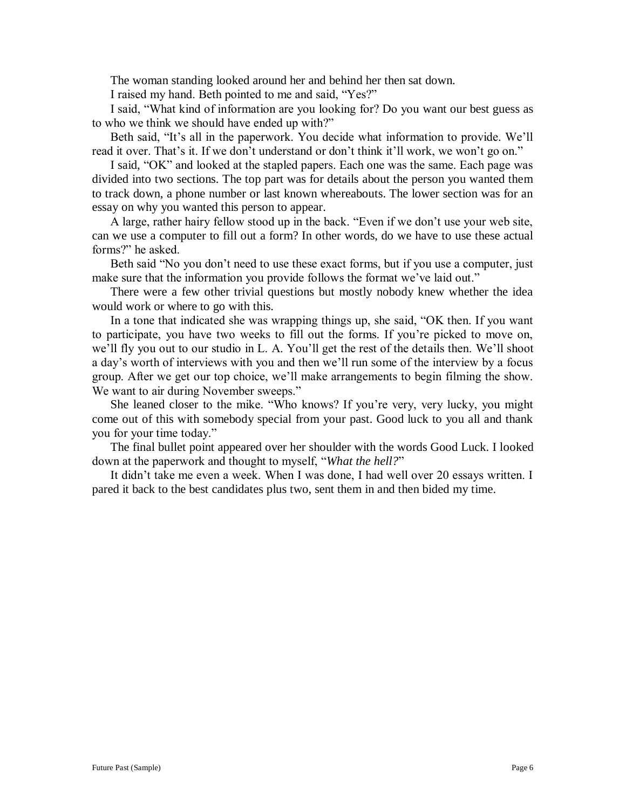The woman standing looked around her and behind her then sat down.

I raised my hand. Beth pointed to me and said, "Yes?"

I said, "What kind of information are you looking for? Do you want our best guess as to who we think we should have ended up with?"

Beth said, "It's all in the paperwork. You decide what information to provide. We'll read it over. That's it. If we don't understand or don't think it'll work, we won't go on."

I said, "OK" and looked at the stapled papers. Each one was the same. Each page was divided into two sections. The top part was for details about the person you wanted them to track down, a phone number or last known whereabouts. The lower section was for an essay on why you wanted this person to appear.

A large, rather hairy fellow stood up in the back. "Even if we don't use your web site, can we use a computer to fill out a form? In other words, do we have to use these actual forms?" he asked.

Beth said "No you don't need to use these exact forms, but if you use a computer, just make sure that the information you provide follows the format we've laid out."

There were a few other trivial questions but mostly nobody knew whether the idea would work or where to go with this.

In a tone that indicated she was wrapping things up, she said, "OK then. If you want to participate, you have two weeks to fill out the forms. If you're picked to move on, we'll fly you out to our studio in L. A. You'll get the rest of the details then. We'll shoot a day's worth of interviews with you and then we'll run some of the interview by a focus group. After we get our top choice, we'll make arrangements to begin filming the show. We want to air during November sweeps."

She leaned closer to the mike. "Who knows? If you're very, very lucky, you might come out of this with somebody special from your past. Good luck to you all and thank you for your time today."

The final bullet point appeared over her shoulder with the words Good Luck. I looked down at the paperwork and thought to myself, "*What the hell?*"

It didn't take me even a week. When I was done, I had well over 20 essays written. I pared it back to the best candidates plus two, sent them in and then bided my time.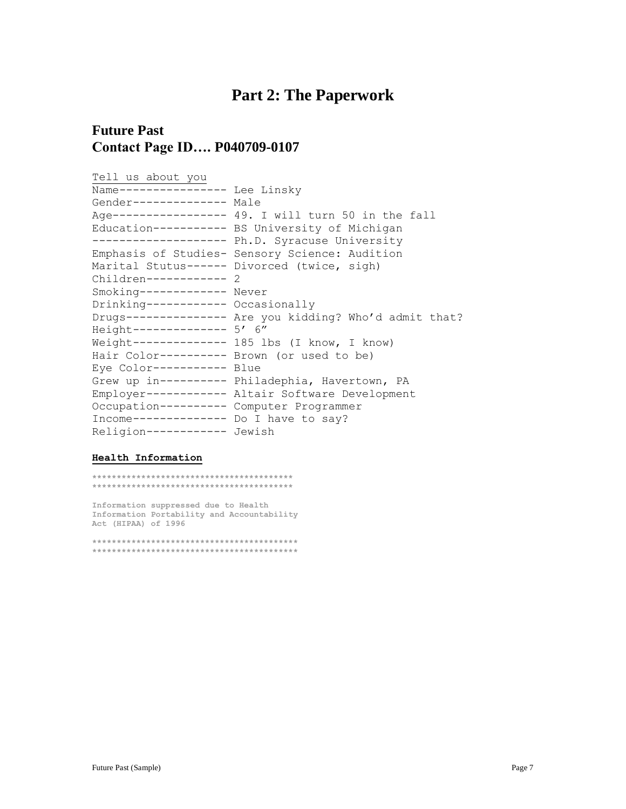## **Part 2: The Paperwork**

## **Future Past Contact Page ID…. P040709-0107**

Tell us about you Name---------------- Lee Linsky Gender-------------- Male Age----------------- 49. I will turn 50 in the fall Education----------- BS University of Michigan -------------------- Ph.D. Syracuse University Emphasis of Studies- Sensory Science: Audition Marital Stutus------ Divorced (twice, sigh) Children------------ 2 Smoking------------- Never Drinking------------ Occasionally Drugs--------------- Are you kidding? Who'd admit that? Height-------------- 5' 6" Weight-------------- 185 lbs (I know, I know) Hair Color---------- Brown (or used to be) Eye Color----------- Blue Grew up in---------- Philadephia, Havertown, PA Employer------------ Altair Software Development Occupation---------- Computer Programmer Income-------------- Do I have to say? Religion------------ Jewish

#### **Health Information**

```
*****************************************
*****************************************
Information suppressed due to Health 
Information Portability and Accountability 
Act (HIPAA) of 1996
******************************************
```
**\*\*\*\*\*\*\*\*\*\*\*\*\*\*\*\*\*\*\*\*\*\*\*\*\*\*\*\*\*\*\*\*\*\*\*\*\*\*\*\*\*\***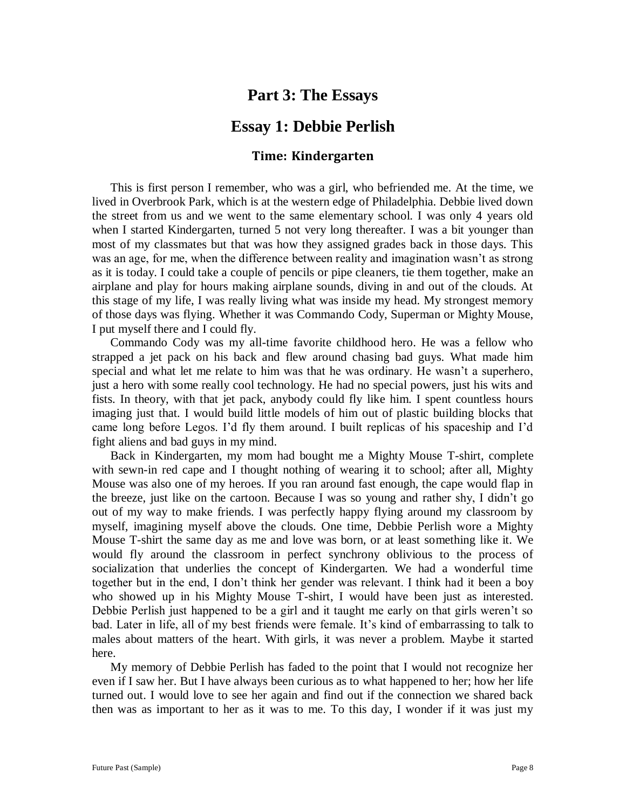## **Part 3: The Essays**

## **Essay 1: Debbie Perlish**

#### **Time: Kindergarten**

This is first person I remember, who was a girl, who befriended me. At the time, we lived in Overbrook Park, which is at the western edge of Philadelphia. Debbie lived down the street from us and we went to the same elementary school. I was only 4 years old when I started Kindergarten, turned 5 not very long thereafter. I was a bit younger than most of my classmates but that was how they assigned grades back in those days. This was an age, for me, when the difference between reality and imagination wasn't as strong as it is today. I could take a couple of pencils or pipe cleaners, tie them together, make an airplane and play for hours making airplane sounds, diving in and out of the clouds. At this stage of my life, I was really living what was inside my head. My strongest memory of those days was flying. Whether it was Commando Cody, Superman or Mighty Mouse, I put myself there and I could fly.

Commando Cody was my all-time favorite childhood hero. He was a fellow who strapped a jet pack on his back and flew around chasing bad guys. What made him special and what let me relate to him was that he was ordinary. He wasn't a superhero, just a hero with some really cool technology. He had no special powers, just his wits and fists. In theory, with that jet pack, anybody could fly like him. I spent countless hours imaging just that. I would build little models of him out of plastic building blocks that came long before Legos. I'd fly them around. I built replicas of his spaceship and I'd fight aliens and bad guys in my mind.

Back in Kindergarten, my mom had bought me a Mighty Mouse T-shirt, complete with sewn-in red cape and I thought nothing of wearing it to school; after all, Mighty Mouse was also one of my heroes. If you ran around fast enough, the cape would flap in the breeze, just like on the cartoon. Because I was so young and rather shy, I didn't go out of my way to make friends. I was perfectly happy flying around my classroom by myself, imagining myself above the clouds. One time, Debbie Perlish wore a Mighty Mouse T-shirt the same day as me and love was born, or at least something like it. We would fly around the classroom in perfect synchrony oblivious to the process of socialization that underlies the concept of Kindergarten. We had a wonderful time together but in the end, I don't think her gender was relevant. I think had it been a boy who showed up in his Mighty Mouse T-shirt, I would have been just as interested. Debbie Perlish just happened to be a girl and it taught me early on that girls weren't so bad. Later in life, all of my best friends were female. It's kind of embarrassing to talk to males about matters of the heart. With girls, it was never a problem. Maybe it started here.

My memory of Debbie Perlish has faded to the point that I would not recognize her even if I saw her. But I have always been curious as to what happened to her; how her life turned out. I would love to see her again and find out if the connection we shared back then was as important to her as it was to me. To this day, I wonder if it was just my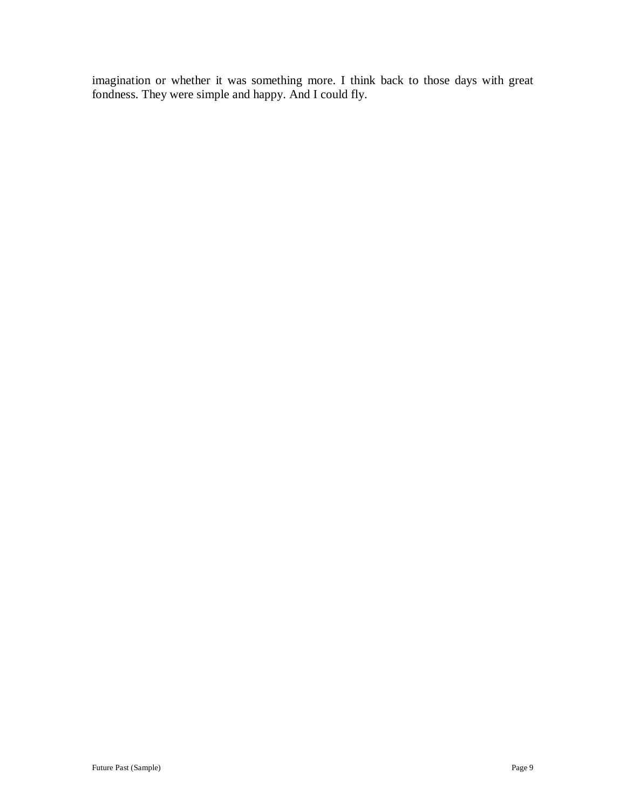imagination or whether it was something more. I think back to those days with great fondness. They were simple and happy. And I could fly.